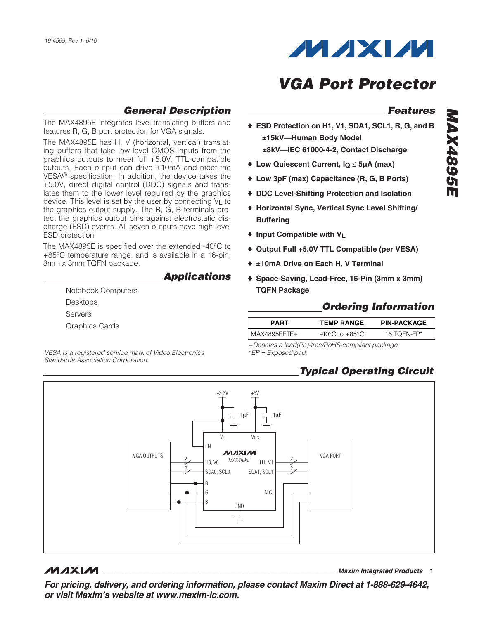ESD protection.

3mm x 3mm TQFN package.

Graphics Cards

Standards Association Corporation.

Desktops Servers

Notebook Computers

**General Description**

**Applications**

The MAX4895E integrates level-translating buffers and

The MAX4895E has H, V (horizontal, vertical) translating buffers that take low-level CMOS inputs from the graphics outputs to meet full +5.0V, TTL-compatible outputs. Each output can drive ±10mA and meet the VESA® specification. In addition, the device takes the +5.0V, direct digital control (DDC) signals and translates them to the lower level required by the graphics device. This level is set by the user by connecting VL to the graphics output supply. The R, G, B terminals protect the graphics output pins against electrostatic discharge (ESD) events. All seven outputs have high-level

The MAX4895E is specified over the extended -40°C to +85°C temperature range, and is available in a 16-pin,

features R, G, B port protection for VGA signals.

# **MAXM**

### **VGA Port Protector**

### **Features**

- ♦ **ESD Protection on H1, V1, SDA1, SCL1, R, G, and B ±15kV—Human Body Model ±8kV—IEC 61000-4-2, Contact Discharge**
- ♦ **Low Quiescent Current, IQ** ≤ **5µA (max)**
- ♦ **Low 3pF (max) Capacitance (R, G, B Ports)**
- ♦ **DDC Level-Shifting Protection and Isolation**
- ♦ **Horizontal Sync, Vertical Sync Level Shifting/ Buffering**
- ♦ **Input Compatible with VL**
- ♦ **Output Full +5.0V TTL Compatible (per VESA)**
- ♦ **±10mA Drive on Each H, V Terminal**
- ♦ **Space-Saving, Lead-Free, 16-Pin (3mm x 3mm) TQFN Package**

### **Ordering Information**

| PART           | <b>TEMP RANGE</b> | <b>PIN-PACKAGE</b> |  |
|----------------|-------------------|--------------------|--|
| I MAX4895EETE+ | -40°C to +85°C.   | 16 TOFN-FP*        |  |

+Denotes a lead(Pb)-free/RoHS-compliant package. VESA is a registered service mark of Video Electronics \*EP = Exposed pad.

### **Typical Operating Circuit**



### **MAXIM**

**\_\_\_\_\_\_\_\_\_\_\_\_\_\_\_\_\_\_\_\_\_\_\_\_\_\_\_\_\_\_\_\_\_\_\_\_\_\_\_\_\_\_\_\_\_\_\_\_\_\_\_\_\_\_\_\_\_\_\_\_\_\_\_\_ Maxim Integrated Products 1**

**MAX4895E MAX48951** 

**For pricing, delivery, and ordering information, please contact Maxim Direct at 1-888-629-4642, or visit Maxim's website at www.maxim-ic.com.**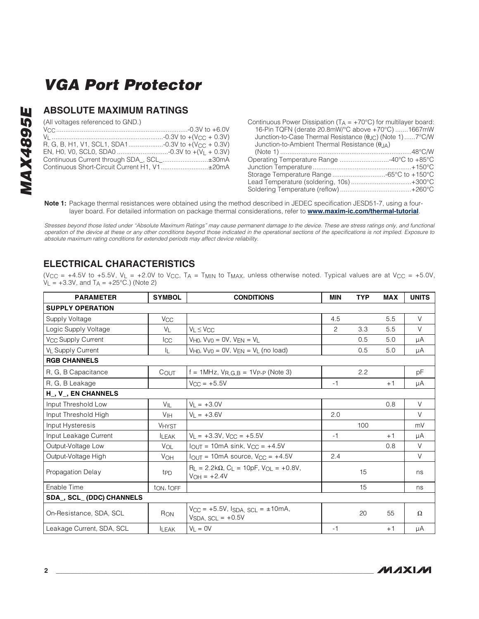### **ABSOLUTE MAXIMUM RATINGS**

(All voltages referenced to GND.)

| Continuous Current through SDA_, SCL_±30mA   |  |
|----------------------------------------------|--|
| Continuous Short-Circuit Current H1, V1±20mA |  |

| Continuous Power Dissipation ( $T_A = +70^{\circ}$ C) for multilayer board: |  |
|-----------------------------------------------------------------------------|--|
| 16-Pin TQFN (derate 20.8mW/°C above +70°C) 1667mW                           |  |
| Junction-to-Case Thermal Resistance $(\theta_{\text{JC}})$ (Note 1)7°C/W    |  |
| Junction-to-Ambient Thermal Resistance $(\theta_{JA})$                      |  |
|                                                                             |  |
| Operating Temperature Range  40°C to +85°C                                  |  |
|                                                                             |  |
|                                                                             |  |
| Lead Temperature (soldering, 10s)+300°C                                     |  |
|                                                                             |  |
|                                                                             |  |

**Note 1:** Package thermal resistances were obtained using the method described in JEDEC specification JESD51-7, using a fourlayer board. For detailed information on package thermal considerations, refer to **www.maxim-ic.com/thermal-tutorial**.

Stresses beyond those listed under "Absolute Maximum Ratings" may cause permanent damage to the device. These are stress ratings only, and functional operation of the device at these or any other conditions beyond those indicated in the operational sections of the specifications is not implied. Exposure to absolute maximum rating conditions for extended periods may affect device reliability.

### **ELECTRICAL CHARACTERISTICS**

(V<sub>CC</sub> = +4.5V to +5.5V, V<sub>L</sub> = +2.0V to V<sub>CC</sub>, T<sub>A</sub> = T<sub>MIN</sub> to T<sub>MAX</sub>, unless otherwise noted. Typical values are at V<sub>CC</sub> = +5.0V,  $V_L$  = +3.3V, and T<sub>A</sub> = +25°C.) (Note 2)

| <b>PARAMETER</b>               | <b>SYMBOL</b>         | <b>CONDITIONS</b>                                                          | <b>MIN</b>     | <b>TYP</b> | <b>MAX</b> | <b>UNITS</b> |
|--------------------------------|-----------------------|----------------------------------------------------------------------------|----------------|------------|------------|--------------|
| <b>SUPPLY OPERATION</b>        |                       |                                                                            |                |            |            |              |
| Supply Voltage                 | <b>V<sub>CC</sub></b> |                                                                            | 4.5            |            | 5.5        | $\vee$       |
| Logic Supply Voltage           | $V_L$                 | $V_L \leq V_{CC}$                                                          | $\overline{2}$ | 3.3        | 5.5        | $\vee$       |
| V <sub>CC</sub> Supply Current | <b>I</b> CC           | $V_{H0}$ , $V_{V0} = 0V$ , $V_{EN} = V_L$                                  |                | 0.5        | 5.0        | μA           |
| V <sub>L</sub> Supply Current  | IL.                   | $V_{H0}$ , $V_{V0} = 0V$ , $V_{FN} = V_1$ (no load)                        |                | 0.5        | 5.0        | μA           |
| <b>RGB CHANNELS</b>            |                       |                                                                            |                |            |            |              |
| R, G, B Capacitance            | $C_{\text{OUT}}$      | $f = 1MHz$ , $V_{R, G, B} = 1V_{P-P}$ (Note 3)                             |                | 2.2        |            | pF           |
| R, G, B Leakage                |                       | $V_{CC} = +5.5V$                                                           | $-1$           |            | $+1$       | μA           |
| H_, V_, EN CHANNELS            |                       |                                                                            |                |            |            |              |
| Input Threshold Low            | VIL                   | $V_L = +3.0V$                                                              |                |            | 0.8        | $\vee$       |
| Input Threshold High           | V <sub>IH</sub>       | $V_1 = +3.6V$                                                              | 2.0            |            |            | $\vee$       |
| Input Hysteresis               | <b>VHYST</b>          |                                                                            |                | 100        |            | mV           |
| Input Leakage Current          | <b>LEAK</b>           | $V_L = +3.3V$ , $V_{CC} = +5.5V$                                           | $-1$           |            | $+1$       | μA           |
| Output-Voltage Low             | VOL                   | $I_{OUT} = 10mA \sin k$ , $V_{CC} = +4.5V$                                 |                |            | 0.8        | V            |
| Output-Voltage High            | V <sub>OH</sub>       | $I_{OUT} = 10mA$ source, $V_{CC} = +4.5V$                                  | 2.4            |            |            | $\vee$       |
| Propagation Delay              | t <sub>PD</sub>       | $R_1 = 2.2k\Omega$ , $C_1 = 10pF$ , $V_{01} = +0.8V$ .<br>$V_{OH} = +2.4V$ |                | 15         |            | ns           |
| Enable Time                    | ton, toff             |                                                                            |                | 15         |            | ns           |
| SDA_, SCL_ (DDC) CHANNELS      |                       |                                                                            |                |            |            |              |
| On-Resistance, SDA, SCL        | RON                   | $V_{CC}$ = +5.5V, ISDA, SCL = $\pm$ 10mA,<br>$VSDA$ , $SCL = +0.5V$        |                | 20         | 55         | Ω            |
| Leakage Current, SDA, SCL      | <b>LEAK</b>           | $V_L = 0V$                                                                 | $-1$           |            | $+1$       | μA           |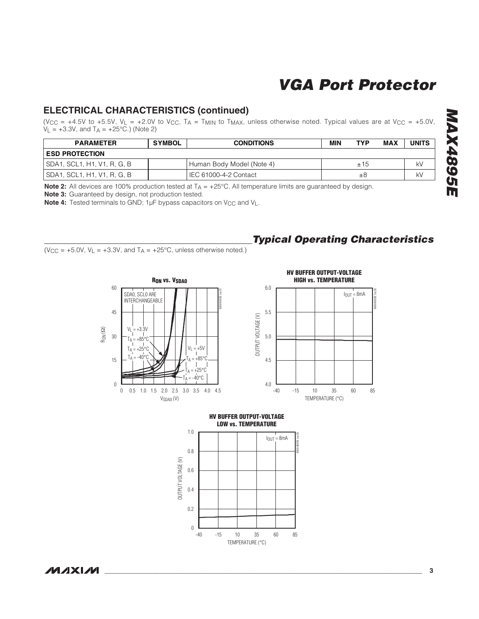### **ELECTRICAL CHARACTERISTICS (continued)**

(V<sub>CC</sub> = +4.5V to +5.5V, V<sub>L</sub> = +2.0V to V<sub>CC</sub>, T<sub>A</sub> = T<sub>MIN</sub> to T<sub>MAX</sub>, unless otherwise noted. Typical values are at V<sub>CC</sub> = +5.0V,  $V_L$  = +3.3V, and T<sub>A</sub> = +25°C.) (Note 2)

| <b>SYMBOL</b><br><b>CONDITIONS</b><br><b>PARAMETER</b> |  |                           | MIN | <b>TYP</b> | <b>MAX</b> | <b>UNITS</b> |
|--------------------------------------------------------|--|---------------------------|-----|------------|------------|--------------|
| <b>ESD PROTECTION</b>                                  |  |                           |     |            |            |              |
| SDA1, SCL1, H1, V1, R, G, B                            |  | Human Body Model (Note 4) |     | ±15        |            | k٧           |
| SDA1, SCL1, H1, V1, R, G, B                            |  | LIEC 61000-4-2 Contact    |     | ±Χ         |            | kV           |

**Note 2:** All devices are 100% production tested at T<sub>A</sub> = +25°C. All temperature limits are guaranteed by design.

**Note 3:** Guaranteed by design, not production tested.

**Note 4:** Tested terminals to GND; 1µF bypass capacitors on V<sub>CC</sub> and V<sub>L</sub>.

(V<sub>CC</sub> =  $+5.0$ V, V<sub>L</sub> =  $+3.3$ V, and T<sub>A</sub> =  $+25$ °C, unless otherwise noted.)

### **Typical Operating Characteristics**

MAX4895E toc02



**HV BUFFER OUTPUT-VOLTAGE LOW vs. TEMPERATURE**

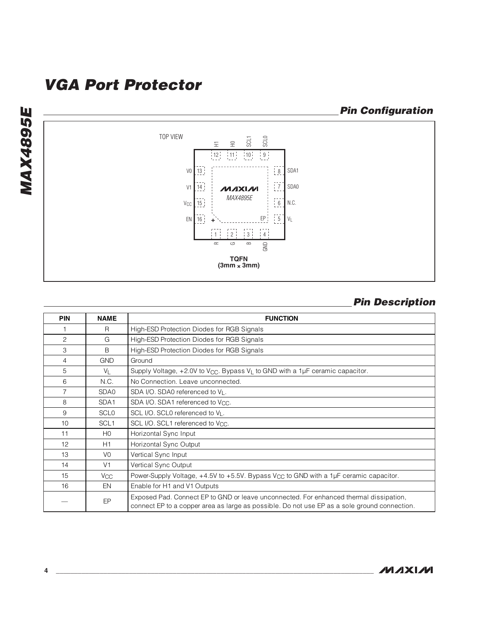**MAX4895E** TOP VIEW SCL0 SCL1  $\triangleq$  $\overline{\pm}$ G H0 2 H1  $\lfloor 12 \rfloor$   $\lfloor 11 \rfloor$   $\lfloor 10 \rfloor$   $\lfloor 9 \rfloor$  $|11\rangle$  $\begin{bmatrix} 8 \\ 0 \end{bmatrix}$ SDA1 V0  $13<sup>1</sup>$  $\begin{bmatrix} 7 \\ 7 \end{bmatrix}$ SDA0 V1 14 **NAIXIVI** *MAX4895E*  $\begin{bmatrix} 1 & 1 & 1 \\ 0 & 0 & 1 \\ 0 & 0 & 1 \end{bmatrix}$  $\begin{bmatrix} 15 \\ 15 \end{bmatrix}$ V<sub>CC</sub> N.C.  $\begin{bmatrix} 16 \\ 1 \end{bmatrix}$ EN  $EP_1 = 5$   $V_L$ **+**  $\frac{1}{1}$   $\frac{1}{2}$   $\frac{1}{3}$  $\begin{bmatrix} 1 & 1 \\ 4 & 1 \end{bmatrix}$  $\overline{\mathbf{r}}$  $\circ$ GND  $\mathbf{e}$ **TQFN (3mm** × **3mm)**

### **Pin Description**

| <b>PIN</b>     | <b>NAME</b>      | <b>FUNCTION</b>                                                                                                                                                                        |
|----------------|------------------|----------------------------------------------------------------------------------------------------------------------------------------------------------------------------------------|
|                | R                | High-ESD Protection Diodes for RGB Signals                                                                                                                                             |
| 2              | G                | High-ESD Protection Diodes for RGB Signals                                                                                                                                             |
| 3              | B                | High-ESD Protection Diodes for RGB Signals                                                                                                                                             |
| $\overline{4}$ | <b>GND</b>       | Ground                                                                                                                                                                                 |
| 5              | $V_{L}$          | Supply Voltage, +2.0V to V <sub>CC</sub> . Bypass V <sub>L</sub> to GND with a 1µF ceramic capacitor.                                                                                  |
| 6              | N.C.             | No Connection. Leave unconnected.                                                                                                                                                      |
| $\overline{7}$ | SDA0             | SDA I/O. SDA0 referenced to V <sub>1</sub> .                                                                                                                                           |
| 8              | SDA <sub>1</sub> | SDA I/O. SDA1 referenced to Vcc.                                                                                                                                                       |
| 9              | <b>SCLO</b>      | SCL I/O. SCL0 referenced to V <sub>1</sub> .                                                                                                                                           |
| 10             | SCL <sub>1</sub> | SCL I/O. SCL1 referenced to V <sub>CC</sub> .                                                                                                                                          |
| 11             | H <sub>0</sub>   | Horizontal Sync Input                                                                                                                                                                  |
| 12             | H1               | Horizontal Sync Output                                                                                                                                                                 |
| 13             | V <sub>0</sub>   | Vertical Sync Input                                                                                                                                                                    |
| 14             | V <sub>1</sub>   | Vertical Sync Output                                                                                                                                                                   |
| 15             | V <sub>CC</sub>  | Power-Supply Voltage, +4.5V to +5.5V. Bypass $V_{CC}$ to GND with a 1µF ceramic capacitor.                                                                                             |
| 16             | EN               | Enable for H1 and V1 Outputs                                                                                                                                                           |
|                | EP               | Exposed Pad. Connect EP to GND or leave unconnected. For enhanced thermal dissipation,<br>connect EP to a copper area as large as possible. Do not use EP as a sole ground connection. |

**MAX4895E**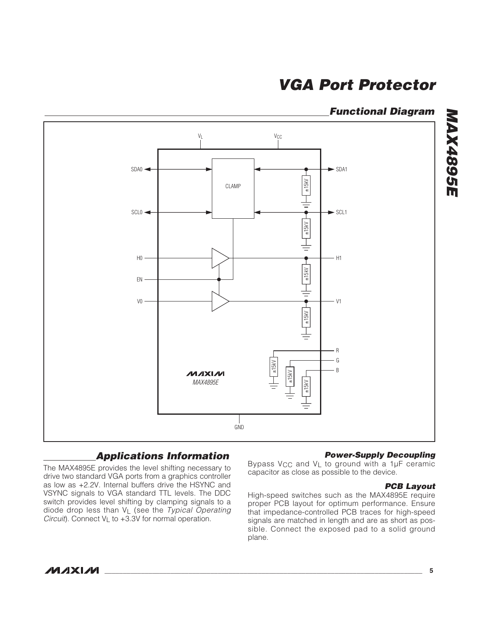**MAXM** 



### **Functional Diagram**

**MAX4895E**

**MAX4895E** 



### **Applications Information**

The MAX4895E provides the level shifting necessary to drive two standard VGA ports from a graphics controller as low as +2.2V. Internal buffers drive the HSYNC and VSYNC signals to VGA standard TTL levels. The DDC switch provides level shifting by clamping signals to a diode drop less than VL (see the Typical Operating Circuit). Connect  $V_L$  to  $+3.3V$  for normal operation.

#### **Power-Supply Decoupling**

Bypass V<sub>CC</sub> and V<sub>L</sub> to ground with a 1µF ceramic capacitor as close as possible to the device.

#### **PCB Layout**

High-speed switches such as the MAX4895E require proper PCB layout for optimum performance. Ensure that impedance-controlled PCB traces for high-speed signals are matched in length and are as short as possible. Connect the exposed pad to a solid ground plane.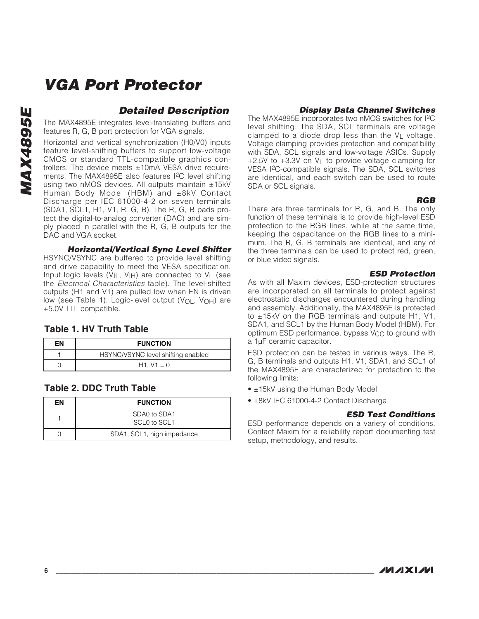### **Detailed Description**

The MAX4895E integrates level-translating buffers and features R, G, B port protection for VGA signals.

Horizontal and vertical synchronization (H0/V0) inputs feature level-shifting buffers to support low-voltage CMOS or standard TTL-compatible graphics controllers. The device meets ±10mA VESA drive requirements. The MAX4895E also features I2C level shifting using two nMOS devices. All outputs maintain ±15kV Human Body Model (HBM) and ±8kV Contact Discharge per IEC 61000-4-2 on seven terminals (SDA1, SCL1, H1, V1, R, G, B). The R, G, B pads protect the digital-to-analog converter (DAC) and are simply placed in parallel with the R, G, B outputs for the DAC and VGA socket.

**Horizontal/Vertical Sync Level Shifter** HSYNC/VSYNC are buffered to provide level shifting and drive capability to meet the VESA specification. Input logic levels (VIL, VIH) are connected to VL (see the Electrical Characteristics table). The level-shifted outputs (H1 and V1) are pulled low when EN is driven low (see Table 1). Logic-level output  $(V_{OL}, V_{OH})$  are +5.0V TTL compatible.

### **Table 1. HV Truth Table**

| ΕN | <b>FUNCTION</b>                    |
|----|------------------------------------|
|    | HSYNC/VSYNC level shifting enabled |
|    | $H1. V1 = 0$                       |

### **Table 2. DDC Truth Table**

| ΕN | <b>FUNCTION</b>              |  |  |
|----|------------------------------|--|--|
|    | SDA0 to SDA1<br>SCLO to SCL1 |  |  |
|    | SDA1, SCL1, high impedance   |  |  |

### **Display Data Channel Switches**

The MAX4895E incorporates two nMOS switches for I2C level shifting. The SDA, SCL terminals are voltage clamped to a diode drop less than the  $V_1$  voltage. Voltage clamping provides protection and compatibility with SDA, SCL signals and low-voltage ASICs. Supply  $+2.5V$  to  $+3.3V$  on  $V_1$  to provide voltage clamping for VESA I2C-compatible signals. The SDA, SCL switches are identical, and each switch can be used to route SDA or SCL signals.

### **RGB**

There are three terminals for R, G, and B. The only function of these terminals is to provide high-level ESD protection to the RGB lines, while at the same time, keeping the capacitance on the RGB lines to a minimum. The R, G, B terminals are identical, and any of the three terminals can be used to protect red, green, or blue video signals.

#### **ESD Protection**

As with all Maxim devices, ESD-protection structures are incorporated on all terminals to protect against electrostatic discharges encountered during handling and assembly. Additionally, the MAX4895E is protected to ±15kV on the RGB terminals and outputs H1, V1, SDA1, and SCL1 by the Human Body Model (HBM). For optimum ESD performance, bypass V<sub>CC</sub> to ground with a 1µF ceramic capacitor.

ESD protection can be tested in various ways. The R, G, B terminals and outputs H1, V1, SDA1, and SCL1 of the MAX4895E are characterized for protection to the following limits:

- ±15kV using the Human Body Model
- ±8kV IEC 61000-4-2 Contact Discharge

#### **ESD Test Conditions**

ESD performance depends on a variety of conditions. Contact Maxim for a reliability report documenting test setup, methodology, and results.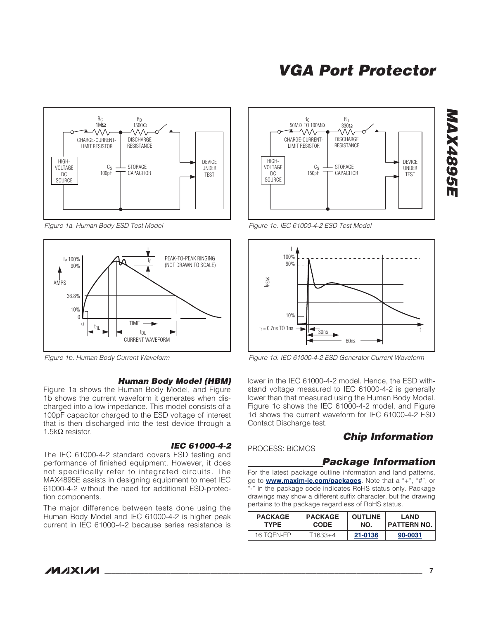

Figure 1a. Human Body ESD Test Model



Figure 1b. Human Body Current Waveform

#### **Human Body Model (HBM)**

Figure 1a shows the Human Body Model, and Figure 1b shows the current waveform it generates when discharged into a low impedance. This model consists of a 100pF capacitor charged to the ESD voltage of interest that is then discharged into the test device through a 1.5kΩ resistor.

#### **IEC 61000-4-2**

The IEC 61000-4-2 standard covers ESD testing and performance of finished equipment. However, it does not specifically refer to integrated circuits. The MAX4895E assists in designing equipment to meet IEC 61000-4-2 without the need for additional ESD-protection components.

The major difference between tests done using the Human Body Model and IEC 61000-4-2 is higher peak current in IEC 61000-4-2 because series resistance is



Figure 1c. IEC 61000-4-2 ESD Test Model



Figure 1d. IEC 61000-4-2 ESD Generator Current Waveform

lower in the IEC 61000-4-2 model. Hence, the ESD withstand voltage measured to IEC 61000-4-2 is generally lower than that measured using the Human Body Model. Figure 1c shows the IEC 61000-4-2 model, and Figure 1d shows the current waveform for IEC 61000-4-2 ESD Contact Discharge test.

### **Chip Information**

#### PROCESS: BiCMOS

### **Package Information**

For the latest package outline information and land patterns, go to **www.maxim-ic.com/packages**. Note that a "+", "#", or "-" in the package code indicates RoHS status only. Package drawings may show a different suffix character, but the drawing pertains to the package regardless of RoHS status.

| <b>PACKAGE</b> | <b>PACKAGE</b> | <b>OUTLINE</b> | <b>LAND</b>   |
|----------------|----------------|----------------|---------------|
| <b>TYPE</b>    | <b>CODE</b>    | NO.            | I PATTERN NO. |
| 16 TOFN-FP     | T1633+4        | 21-0136        | 90-0031       |